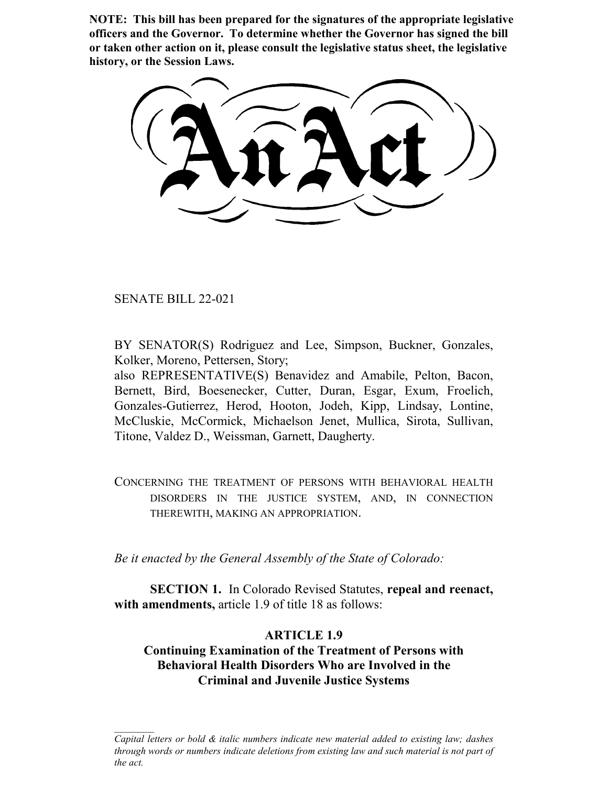**NOTE: This bill has been prepared for the signatures of the appropriate legislative officers and the Governor. To determine whether the Governor has signed the bill or taken other action on it, please consult the legislative status sheet, the legislative history, or the Session Laws.**

SENATE BILL 22-021

BY SENATOR(S) Rodriguez and Lee, Simpson, Buckner, Gonzales, Kolker, Moreno, Pettersen, Story;

also REPRESENTATIVE(S) Benavidez and Amabile, Pelton, Bacon, Bernett, Bird, Boesenecker, Cutter, Duran, Esgar, Exum, Froelich, Gonzales-Gutierrez, Herod, Hooton, Jodeh, Kipp, Lindsay, Lontine, McCluskie, McCormick, Michaelson Jenet, Mullica, Sirota, Sullivan, Titone, Valdez D., Weissman, Garnett, Daugherty.

CONCERNING THE TREATMENT OF PERSONS WITH BEHAVIORAL HEALTH DISORDERS IN THE JUSTICE SYSTEM, AND, IN CONNECTION THEREWITH, MAKING AN APPROPRIATION.

*Be it enacted by the General Assembly of the State of Colorado:*

**SECTION 1.** In Colorado Revised Statutes, **repeal and reenact, with amendments,** article 1.9 of title 18 as follows:

# **ARTICLE 1.9**

**Continuing Examination of the Treatment of Persons with Behavioral Health Disorders Who are Involved in the Criminal and Juvenile Justice Systems**

*Capital letters or bold & italic numbers indicate new material added to existing law; dashes through words or numbers indicate deletions from existing law and such material is not part of the act.*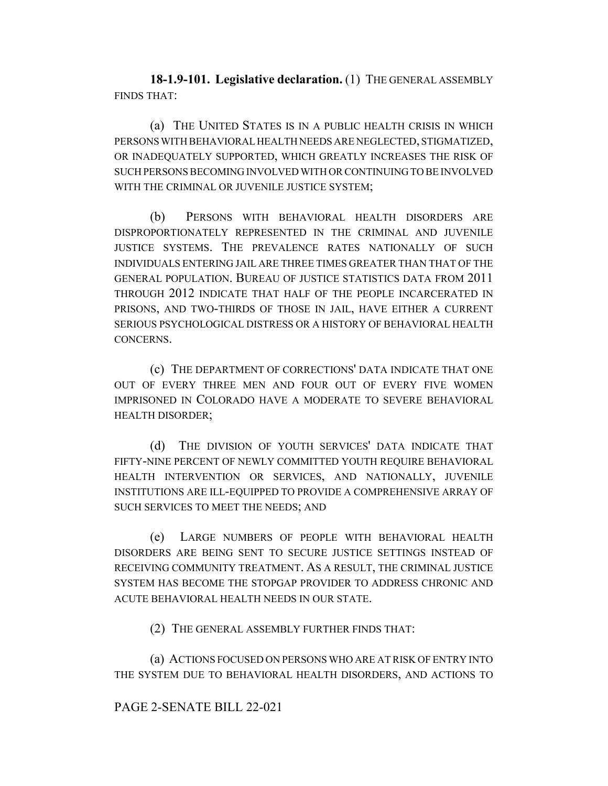**18-1.9-101. Legislative declaration.** (1) THE GENERAL ASSEMBLY FINDS THAT:

(a) THE UNITED STATES IS IN A PUBLIC HEALTH CRISIS IN WHICH PERSONS WITH BEHAVIORAL HEALTH NEEDS ARE NEGLECTED, STIGMATIZED, OR INADEQUATELY SUPPORTED, WHICH GREATLY INCREASES THE RISK OF SUCH PERSONS BECOMING INVOLVED WITH OR CONTINUING TO BE INVOLVED WITH THE CRIMINAL OR JUVENILE JUSTICE SYSTEM;

(b) PERSONS WITH BEHAVIORAL HEALTH DISORDERS ARE DISPROPORTIONATELY REPRESENTED IN THE CRIMINAL AND JUVENILE JUSTICE SYSTEMS. THE PREVALENCE RATES NATIONALLY OF SUCH INDIVIDUALS ENTERING JAIL ARE THREE TIMES GREATER THAN THAT OF THE GENERAL POPULATION. BUREAU OF JUSTICE STATISTICS DATA FROM 2011 THROUGH 2012 INDICATE THAT HALF OF THE PEOPLE INCARCERATED IN PRISONS, AND TWO-THIRDS OF THOSE IN JAIL, HAVE EITHER A CURRENT SERIOUS PSYCHOLOGICAL DISTRESS OR A HISTORY OF BEHAVIORAL HEALTH CONCERNS.

(c) THE DEPARTMENT OF CORRECTIONS' DATA INDICATE THAT ONE OUT OF EVERY THREE MEN AND FOUR OUT OF EVERY FIVE WOMEN IMPRISONED IN COLORADO HAVE A MODERATE TO SEVERE BEHAVIORAL HEALTH DISORDER;

(d) THE DIVISION OF YOUTH SERVICES' DATA INDICATE THAT FIFTY-NINE PERCENT OF NEWLY COMMITTED YOUTH REQUIRE BEHAVIORAL HEALTH INTERVENTION OR SERVICES, AND NATIONALLY, JUVENILE INSTITUTIONS ARE ILL-EQUIPPED TO PROVIDE A COMPREHENSIVE ARRAY OF SUCH SERVICES TO MEET THE NEEDS; AND

(e) LARGE NUMBERS OF PEOPLE WITH BEHAVIORAL HEALTH DISORDERS ARE BEING SENT TO SECURE JUSTICE SETTINGS INSTEAD OF RECEIVING COMMUNITY TREATMENT. AS A RESULT, THE CRIMINAL JUSTICE SYSTEM HAS BECOME THE STOPGAP PROVIDER TO ADDRESS CHRONIC AND ACUTE BEHAVIORAL HEALTH NEEDS IN OUR STATE.

(2) THE GENERAL ASSEMBLY FURTHER FINDS THAT:

(a) ACTIONS FOCUSED ON PERSONS WHO ARE AT RISK OF ENTRY INTO THE SYSTEM DUE TO BEHAVIORAL HEALTH DISORDERS, AND ACTIONS TO

#### PAGE 2-SENATE BILL 22-021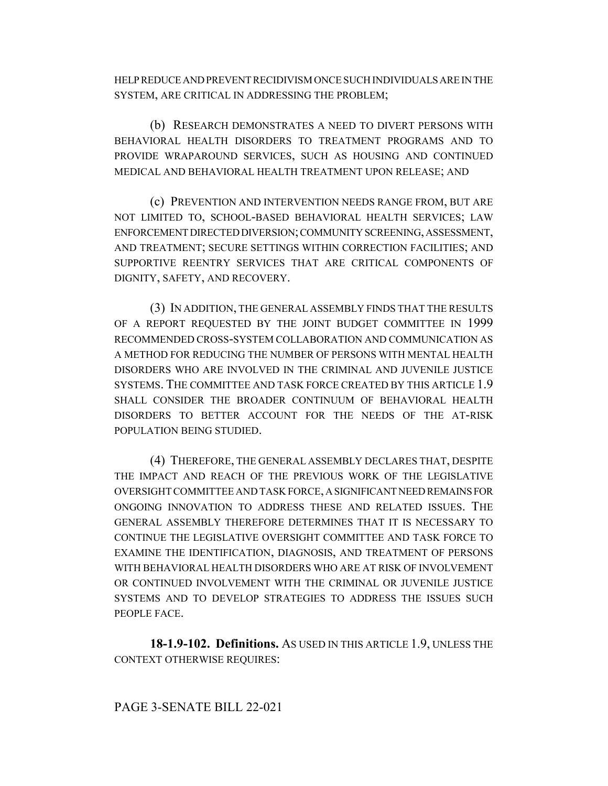HELP REDUCE AND PREVENT RECIDIVISM ONCE SUCH INDIVIDUALS ARE IN THE SYSTEM, ARE CRITICAL IN ADDRESSING THE PROBLEM;

(b) RESEARCH DEMONSTRATES A NEED TO DIVERT PERSONS WITH BEHAVIORAL HEALTH DISORDERS TO TREATMENT PROGRAMS AND TO PROVIDE WRAPAROUND SERVICES, SUCH AS HOUSING AND CONTINUED MEDICAL AND BEHAVIORAL HEALTH TREATMENT UPON RELEASE; AND

(c) PREVENTION AND INTERVENTION NEEDS RANGE FROM, BUT ARE NOT LIMITED TO, SCHOOL-BASED BEHAVIORAL HEALTH SERVICES; LAW ENFORCEMENT DIRECTED DIVERSION; COMMUNITY SCREENING, ASSESSMENT, AND TREATMENT; SECURE SETTINGS WITHIN CORRECTION FACILITIES; AND SUPPORTIVE REENTRY SERVICES THAT ARE CRITICAL COMPONENTS OF DIGNITY, SAFETY, AND RECOVERY.

(3) IN ADDITION, THE GENERAL ASSEMBLY FINDS THAT THE RESULTS OF A REPORT REQUESTED BY THE JOINT BUDGET COMMITTEE IN 1999 RECOMMENDED CROSS-SYSTEM COLLABORATION AND COMMUNICATION AS A METHOD FOR REDUCING THE NUMBER OF PERSONS WITH MENTAL HEALTH DISORDERS WHO ARE INVOLVED IN THE CRIMINAL AND JUVENILE JUSTICE SYSTEMS. THE COMMITTEE AND TASK FORCE CREATED BY THIS ARTICLE 1.9 SHALL CONSIDER THE BROADER CONTINUUM OF BEHAVIORAL HEALTH DISORDERS TO BETTER ACCOUNT FOR THE NEEDS OF THE AT-RISK POPULATION BEING STUDIED.

(4) THEREFORE, THE GENERAL ASSEMBLY DECLARES THAT, DESPITE THE IMPACT AND REACH OF THE PREVIOUS WORK OF THE LEGISLATIVE OVERSIGHT COMMITTEE AND TASK FORCE, A SIGNIFICANT NEED REMAINS FOR ONGOING INNOVATION TO ADDRESS THESE AND RELATED ISSUES. THE GENERAL ASSEMBLY THEREFORE DETERMINES THAT IT IS NECESSARY TO CONTINUE THE LEGISLATIVE OVERSIGHT COMMITTEE AND TASK FORCE TO EXAMINE THE IDENTIFICATION, DIAGNOSIS, AND TREATMENT OF PERSONS WITH BEHAVIORAL HEALTH DISORDERS WHO ARE AT RISK OF INVOLVEMENT OR CONTINUED INVOLVEMENT WITH THE CRIMINAL OR JUVENILE JUSTICE SYSTEMS AND TO DEVELOP STRATEGIES TO ADDRESS THE ISSUES SUCH PEOPLE FACE.

**18-1.9-102. Definitions.** AS USED IN THIS ARTICLE 1.9, UNLESS THE CONTEXT OTHERWISE REQUIRES: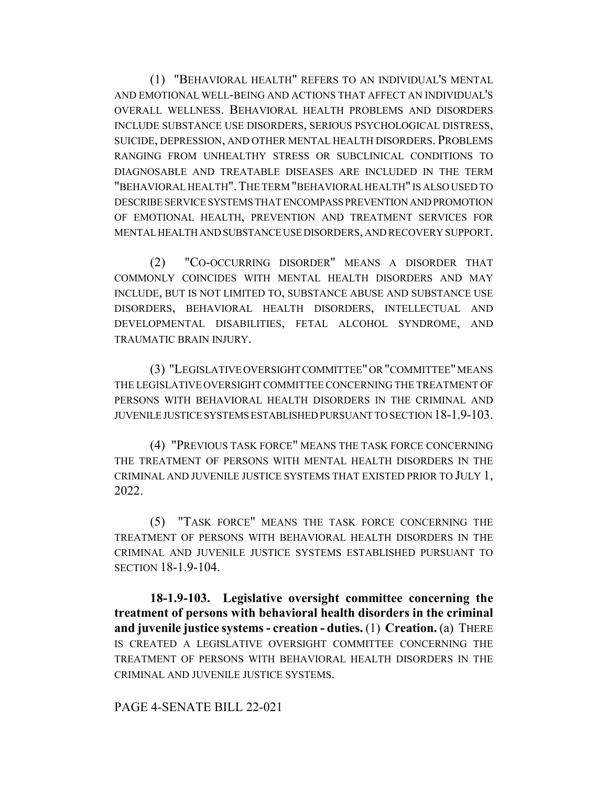(1) "BEHAVIORAL HEALTH" REFERS TO AN INDIVIDUAL'S MENTAL AND EMOTIONAL WELL-BEING AND ACTIONS THAT AFFECT AN INDIVIDUAL'S OVERALL WELLNESS. BEHAVIORAL HEALTH PROBLEMS AND DISORDERS INCLUDE SUBSTANCE USE DISORDERS, SERIOUS PSYCHOLOGICAL DISTRESS, SUICIDE, DEPRESSION, AND OTHER MENTAL HEALTH DISORDERS. PROBLEMS RANGING FROM UNHEALTHY STRESS OR SUBCLINICAL CONDITIONS TO DIAGNOSABLE AND TREATABLE DISEASES ARE INCLUDED IN THE TERM "BEHAVIORAL HEALTH".THE TERM "BEHAVIORAL HEALTH" IS ALSO USED TO DESCRIBE SERVICE SYSTEMS THAT ENCOMPASS PREVENTION AND PROMOTION OF EMOTIONAL HEALTH, PREVENTION AND TREATMENT SERVICES FOR MENTAL HEALTH AND SUBSTANCE USE DISORDERS, AND RECOVERY SUPPORT.

(2) "CO-OCCURRING DISORDER" MEANS A DISORDER THAT COMMONLY COINCIDES WITH MENTAL HEALTH DISORDERS AND MAY INCLUDE, BUT IS NOT LIMITED TO, SUBSTANCE ABUSE AND SUBSTANCE USE DISORDERS, BEHAVIORAL HEALTH DISORDERS, INTELLECTUAL AND DEVELOPMENTAL DISABILITIES, FETAL ALCOHOL SYNDROME, AND TRAUMATIC BRAIN INJURY.

(3) "LEGISLATIVE OVERSIGHT COMMITTEE" OR "COMMITTEE" MEANS THE LEGISLATIVE OVERSIGHT COMMITTEE CONCERNING THE TREATMENT OF PERSONS WITH BEHAVIORAL HEALTH DISORDERS IN THE CRIMINAL AND JUVENILE JUSTICE SYSTEMS ESTABLISHED PURSUANT TO SECTION 18-1.9-103.

(4) "PREVIOUS TASK FORCE" MEANS THE TASK FORCE CONCERNING THE TREATMENT OF PERSONS WITH MENTAL HEALTH DISORDERS IN THE CRIMINAL AND JUVENILE JUSTICE SYSTEMS THAT EXISTED PRIOR TO JULY 1, 2022.

(5) "TASK FORCE" MEANS THE TASK FORCE CONCERNING THE TREATMENT OF PERSONS WITH BEHAVIORAL HEALTH DISORDERS IN THE CRIMINAL AND JUVENILE JUSTICE SYSTEMS ESTABLISHED PURSUANT TO SECTION 18-1.9-104.

**18-1.9-103. Legislative oversight committee concerning the treatment of persons with behavioral health disorders in the criminal and juvenile justice systems - creation - duties.** (1) **Creation.** (a) THERE IS CREATED A LEGISLATIVE OVERSIGHT COMMITTEE CONCERNING THE TREATMENT OF PERSONS WITH BEHAVIORAL HEALTH DISORDERS IN THE CRIMINAL AND JUVENILE JUSTICE SYSTEMS.

### PAGE 4-SENATE BILL 22-021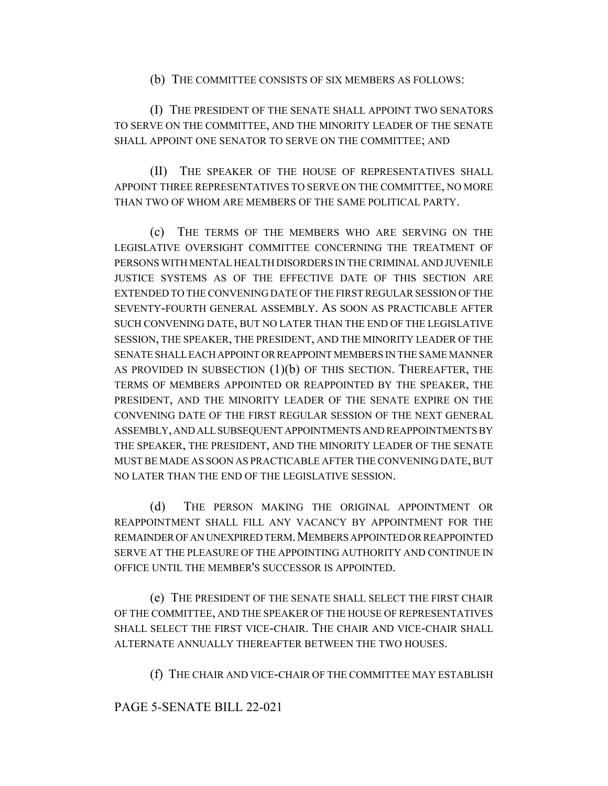(b) THE COMMITTEE CONSISTS OF SIX MEMBERS AS FOLLOWS:

(I) THE PRESIDENT OF THE SENATE SHALL APPOINT TWO SENATORS TO SERVE ON THE COMMITTEE, AND THE MINORITY LEADER OF THE SENATE SHALL APPOINT ONE SENATOR TO SERVE ON THE COMMITTEE; AND

(II) THE SPEAKER OF THE HOUSE OF REPRESENTATIVES SHALL APPOINT THREE REPRESENTATIVES TO SERVE ON THE COMMITTEE, NO MORE THAN TWO OF WHOM ARE MEMBERS OF THE SAME POLITICAL PARTY.

(c) THE TERMS OF THE MEMBERS WHO ARE SERVING ON THE LEGISLATIVE OVERSIGHT COMMITTEE CONCERNING THE TREATMENT OF PERSONS WITH MENTAL HEALTH DISORDERS IN THE CRIMINAL AND JUVENILE JUSTICE SYSTEMS AS OF THE EFFECTIVE DATE OF THIS SECTION ARE EXTENDED TO THE CONVENING DATE OF THE FIRST REGULAR SESSION OF THE SEVENTY-FOURTH GENERAL ASSEMBLY. AS SOON AS PRACTICABLE AFTER SUCH CONVENING DATE, BUT NO LATER THAN THE END OF THE LEGISLATIVE SESSION, THE SPEAKER, THE PRESIDENT, AND THE MINORITY LEADER OF THE SENATE SHALL EACH APPOINT OR REAPPOINT MEMBERS IN THE SAME MANNER AS PROVIDED IN SUBSECTION  $(1)(b)$  OF THIS SECTION. THEREAFTER, THE TERMS OF MEMBERS APPOINTED OR REAPPOINTED BY THE SPEAKER, THE PRESIDENT, AND THE MINORITY LEADER OF THE SENATE EXPIRE ON THE CONVENING DATE OF THE FIRST REGULAR SESSION OF THE NEXT GENERAL ASSEMBLY, AND ALL SUBSEQUENT APPOINTMENTS AND REAPPOINTMENTS BY THE SPEAKER, THE PRESIDENT, AND THE MINORITY LEADER OF THE SENATE MUST BE MADE AS SOON AS PRACTICABLE AFTER THE CONVENING DATE, BUT NO LATER THAN THE END OF THE LEGISLATIVE SESSION.

(d) THE PERSON MAKING THE ORIGINAL APPOINTMENT OR REAPPOINTMENT SHALL FILL ANY VACANCY BY APPOINTMENT FOR THE REMAINDER OF AN UNEXPIRED TERM.MEMBERS APPOINTED OR REAPPOINTED SERVE AT THE PLEASURE OF THE APPOINTING AUTHORITY AND CONTINUE IN OFFICE UNTIL THE MEMBER'S SUCCESSOR IS APPOINTED.

(e) THE PRESIDENT OF THE SENATE SHALL SELECT THE FIRST CHAIR OF THE COMMITTEE, AND THE SPEAKER OF THE HOUSE OF REPRESENTATIVES SHALL SELECT THE FIRST VICE-CHAIR. THE CHAIR AND VICE-CHAIR SHALL ALTERNATE ANNUALLY THEREAFTER BETWEEN THE TWO HOUSES.

(f) THE CHAIR AND VICE-CHAIR OF THE COMMITTEE MAY ESTABLISH

# PAGE 5-SENATE BILL 22-021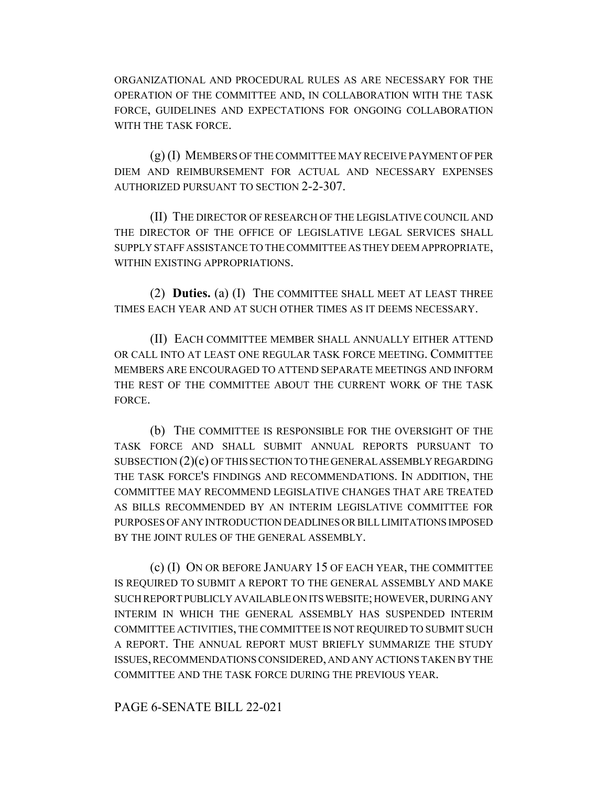ORGANIZATIONAL AND PROCEDURAL RULES AS ARE NECESSARY FOR THE OPERATION OF THE COMMITTEE AND, IN COLLABORATION WITH THE TASK FORCE, GUIDELINES AND EXPECTATIONS FOR ONGOING COLLABORATION WITH THE TASK FORCE.

(g) (I) MEMBERS OF THE COMMITTEE MAY RECEIVE PAYMENT OF PER DIEM AND REIMBURSEMENT FOR ACTUAL AND NECESSARY EXPENSES AUTHORIZED PURSUANT TO SECTION 2-2-307.

(II) THE DIRECTOR OF RESEARCH OF THE LEGISLATIVE COUNCIL AND THE DIRECTOR OF THE OFFICE OF LEGISLATIVE LEGAL SERVICES SHALL SUPPLY STAFF ASSISTANCE TO THE COMMITTEE AS THEY DEEM APPROPRIATE, WITHIN EXISTING APPROPRIATIONS.

(2) **Duties.** (a) (I) THE COMMITTEE SHALL MEET AT LEAST THREE TIMES EACH YEAR AND AT SUCH OTHER TIMES AS IT DEEMS NECESSARY.

(II) EACH COMMITTEE MEMBER SHALL ANNUALLY EITHER ATTEND OR CALL INTO AT LEAST ONE REGULAR TASK FORCE MEETING. COMMITTEE MEMBERS ARE ENCOURAGED TO ATTEND SEPARATE MEETINGS AND INFORM THE REST OF THE COMMITTEE ABOUT THE CURRENT WORK OF THE TASK FORCE.

(b) THE COMMITTEE IS RESPONSIBLE FOR THE OVERSIGHT OF THE TASK FORCE AND SHALL SUBMIT ANNUAL REPORTS PURSUANT TO SUBSECTION  $(2)(c)$  OF THIS SECTION TO THE GENERAL ASSEMBLY REGARDING THE TASK FORCE'S FINDINGS AND RECOMMENDATIONS. IN ADDITION, THE COMMITTEE MAY RECOMMEND LEGISLATIVE CHANGES THAT ARE TREATED AS BILLS RECOMMENDED BY AN INTERIM LEGISLATIVE COMMITTEE FOR PURPOSES OF ANY INTRODUCTION DEADLINES OR BILL LIMITATIONS IMPOSED BY THE JOINT RULES OF THE GENERAL ASSEMBLY.

(c) (I) ON OR BEFORE JANUARY 15 OF EACH YEAR, THE COMMITTEE IS REQUIRED TO SUBMIT A REPORT TO THE GENERAL ASSEMBLY AND MAKE SUCH REPORT PUBLICLY AVAILABLE ON ITS WEBSITE; HOWEVER, DURING ANY INTERIM IN WHICH THE GENERAL ASSEMBLY HAS SUSPENDED INTERIM COMMITTEE ACTIVITIES, THE COMMITTEE IS NOT REQUIRED TO SUBMIT SUCH A REPORT. THE ANNUAL REPORT MUST BRIEFLY SUMMARIZE THE STUDY ISSUES, RECOMMENDATIONS CONSIDERED, AND ANY ACTIONS TAKEN BY THE COMMITTEE AND THE TASK FORCE DURING THE PREVIOUS YEAR.

PAGE 6-SENATE BILL 22-021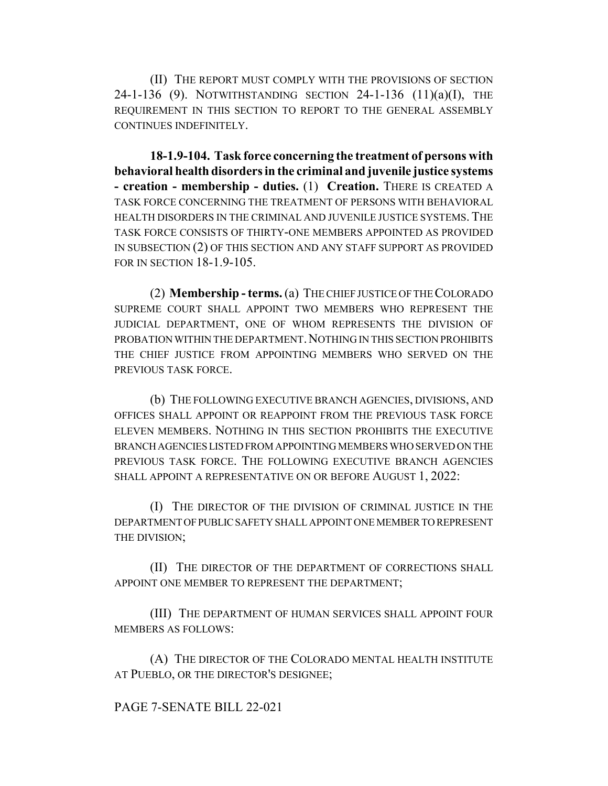(II) THE REPORT MUST COMPLY WITH THE PROVISIONS OF SECTION 24-1-136 (9). NOTWITHSTANDING SECTION 24-1-136  $(11)(a)(I)$ , THE REQUIREMENT IN THIS SECTION TO REPORT TO THE GENERAL ASSEMBLY CONTINUES INDEFINITELY.

**18-1.9-104. Task force concerning the treatment of persons with behavioral health disorders in the criminal and juvenile justice systems - creation - membership - duties.** (1) **Creation.** THERE IS CREATED A TASK FORCE CONCERNING THE TREATMENT OF PERSONS WITH BEHAVIORAL HEALTH DISORDERS IN THE CRIMINAL AND JUVENILE JUSTICE SYSTEMS. THE TASK FORCE CONSISTS OF THIRTY-ONE MEMBERS APPOINTED AS PROVIDED IN SUBSECTION (2) OF THIS SECTION AND ANY STAFF SUPPORT AS PROVIDED FOR IN SECTION 18-1.9-105.

(2) **Membership - terms.** (a) THE CHIEF JUSTICE OF THE COLORADO SUPREME COURT SHALL APPOINT TWO MEMBERS WHO REPRESENT THE JUDICIAL DEPARTMENT, ONE OF WHOM REPRESENTS THE DIVISION OF PROBATION WITHIN THE DEPARTMENT. NOTHING IN THIS SECTION PROHIBITS THE CHIEF JUSTICE FROM APPOINTING MEMBERS WHO SERVED ON THE PREVIOUS TASK FORCE.

(b) THE FOLLOWING EXECUTIVE BRANCH AGENCIES, DIVISIONS, AND OFFICES SHALL APPOINT OR REAPPOINT FROM THE PREVIOUS TASK FORCE ELEVEN MEMBERS. NOTHING IN THIS SECTION PROHIBITS THE EXECUTIVE BRANCH AGENCIES LISTED FROM APPOINTING MEMBERS WHO SERVED ON THE PREVIOUS TASK FORCE. THE FOLLOWING EXECUTIVE BRANCH AGENCIES SHALL APPOINT A REPRESENTATIVE ON OR BEFORE AUGUST 1, 2022:

(I) THE DIRECTOR OF THE DIVISION OF CRIMINAL JUSTICE IN THE DEPARTMENT OF PUBLIC SAFETY SHALL APPOINT ONE MEMBER TO REPRESENT THE DIVISION;

(II) THE DIRECTOR OF THE DEPARTMENT OF CORRECTIONS SHALL APPOINT ONE MEMBER TO REPRESENT THE DEPARTMENT;

(III) THE DEPARTMENT OF HUMAN SERVICES SHALL APPOINT FOUR MEMBERS AS FOLLOWS:

(A) THE DIRECTOR OF THE COLORADO MENTAL HEALTH INSTITUTE AT PUEBLO, OR THE DIRECTOR'S DESIGNEE;

# PAGE 7-SENATE BILL 22-021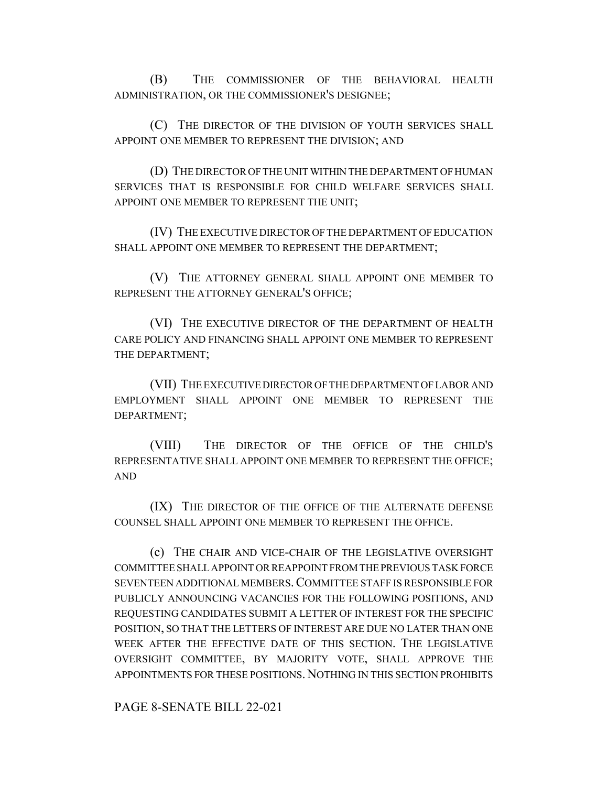(B) THE COMMISSIONER OF THE BEHAVIORAL HEALTH ADMINISTRATION, OR THE COMMISSIONER'S DESIGNEE;

(C) THE DIRECTOR OF THE DIVISION OF YOUTH SERVICES SHALL APPOINT ONE MEMBER TO REPRESENT THE DIVISION; AND

(D) THE DIRECTOR OF THE UNIT WITHIN THE DEPARTMENT OF HUMAN SERVICES THAT IS RESPONSIBLE FOR CHILD WELFARE SERVICES SHALL APPOINT ONE MEMBER TO REPRESENT THE UNIT;

(IV) THE EXECUTIVE DIRECTOR OF THE DEPARTMENT OF EDUCATION SHALL APPOINT ONE MEMBER TO REPRESENT THE DEPARTMENT;

(V) THE ATTORNEY GENERAL SHALL APPOINT ONE MEMBER TO REPRESENT THE ATTORNEY GENERAL'S OFFICE;

(VI) THE EXECUTIVE DIRECTOR OF THE DEPARTMENT OF HEALTH CARE POLICY AND FINANCING SHALL APPOINT ONE MEMBER TO REPRESENT THE DEPARTMENT;

(VII) THE EXECUTIVE DIRECTOR OF THE DEPARTMENT OF LABOR AND EMPLOYMENT SHALL APPOINT ONE MEMBER TO REPRESENT THE DEPARTMENT;

(VIII) THE DIRECTOR OF THE OFFICE OF THE CHILD'S REPRESENTATIVE SHALL APPOINT ONE MEMBER TO REPRESENT THE OFFICE; AND

(IX) THE DIRECTOR OF THE OFFICE OF THE ALTERNATE DEFENSE COUNSEL SHALL APPOINT ONE MEMBER TO REPRESENT THE OFFICE.

(c) THE CHAIR AND VICE-CHAIR OF THE LEGISLATIVE OVERSIGHT COMMITTEE SHALL APPOINT OR REAPPOINT FROM THE PREVIOUS TASK FORCE SEVENTEEN ADDITIONAL MEMBERS.COMMITTEE STAFF IS RESPONSIBLE FOR PUBLICLY ANNOUNCING VACANCIES FOR THE FOLLOWING POSITIONS, AND REQUESTING CANDIDATES SUBMIT A LETTER OF INTEREST FOR THE SPECIFIC POSITION, SO THAT THE LETTERS OF INTEREST ARE DUE NO LATER THAN ONE WEEK AFTER THE EFFECTIVE DATE OF THIS SECTION. THE LEGISLATIVE OVERSIGHT COMMITTEE, BY MAJORITY VOTE, SHALL APPROVE THE APPOINTMENTS FOR THESE POSITIONS. NOTHING IN THIS SECTION PROHIBITS

PAGE 8-SENATE BILL 22-021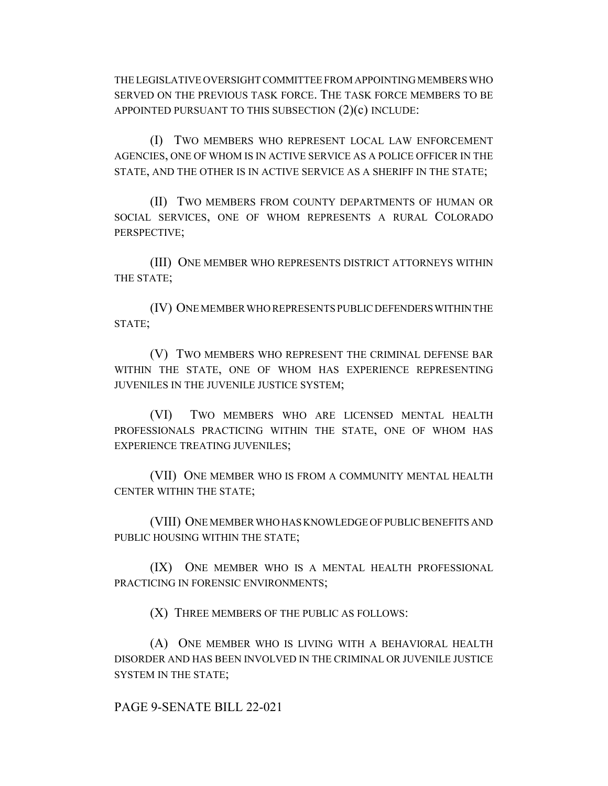THE LEGISLATIVE OVERSIGHT COMMITTEE FROM APPOINTING MEMBERS WHO SERVED ON THE PREVIOUS TASK FORCE. THE TASK FORCE MEMBERS TO BE APPOINTED PURSUANT TO THIS SUBSECTION (2)(c) INCLUDE:

(I) TWO MEMBERS WHO REPRESENT LOCAL LAW ENFORCEMENT AGENCIES, ONE OF WHOM IS IN ACTIVE SERVICE AS A POLICE OFFICER IN THE STATE, AND THE OTHER IS IN ACTIVE SERVICE AS A SHERIFF IN THE STATE;

(II) TWO MEMBERS FROM COUNTY DEPARTMENTS OF HUMAN OR SOCIAL SERVICES, ONE OF WHOM REPRESENTS A RURAL COLORADO PERSPECTIVE;

(III) ONE MEMBER WHO REPRESENTS DISTRICT ATTORNEYS WITHIN THE STATE;

(IV) ONE MEMBER WHO REPRESENTS PUBLIC DEFENDERS WITHIN THE STATE;

(V) TWO MEMBERS WHO REPRESENT THE CRIMINAL DEFENSE BAR WITHIN THE STATE, ONE OF WHOM HAS EXPERIENCE REPRESENTING JUVENILES IN THE JUVENILE JUSTICE SYSTEM;

(VI) TWO MEMBERS WHO ARE LICENSED MENTAL HEALTH PROFESSIONALS PRACTICING WITHIN THE STATE, ONE OF WHOM HAS EXPERIENCE TREATING JUVENILES;

(VII) ONE MEMBER WHO IS FROM A COMMUNITY MENTAL HEALTH CENTER WITHIN THE STATE;

(VIII) ONE MEMBER WHO HAS KNOWLEDGE OF PUBLIC BENEFITS AND PUBLIC HOUSING WITHIN THE STATE;

(IX) ONE MEMBER WHO IS A MENTAL HEALTH PROFESSIONAL PRACTICING IN FORENSIC ENVIRONMENTS;

(X) THREE MEMBERS OF THE PUBLIC AS FOLLOWS:

(A) ONE MEMBER WHO IS LIVING WITH A BEHAVIORAL HEALTH DISORDER AND HAS BEEN INVOLVED IN THE CRIMINAL OR JUVENILE JUSTICE SYSTEM IN THE STATE;

PAGE 9-SENATE BILL 22-021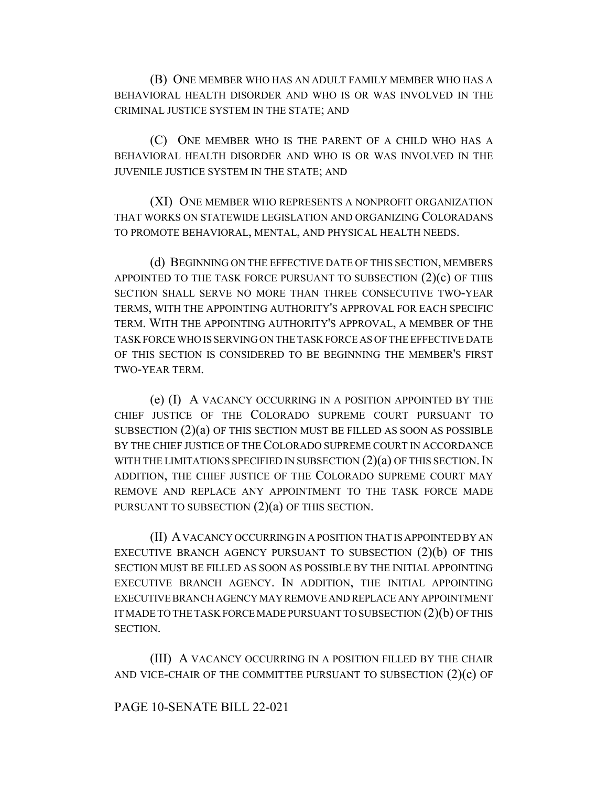(B) ONE MEMBER WHO HAS AN ADULT FAMILY MEMBER WHO HAS A BEHAVIORAL HEALTH DISORDER AND WHO IS OR WAS INVOLVED IN THE CRIMINAL JUSTICE SYSTEM IN THE STATE; AND

(C) ONE MEMBER WHO IS THE PARENT OF A CHILD WHO HAS A BEHAVIORAL HEALTH DISORDER AND WHO IS OR WAS INVOLVED IN THE JUVENILE JUSTICE SYSTEM IN THE STATE; AND

(XI) ONE MEMBER WHO REPRESENTS A NONPROFIT ORGANIZATION THAT WORKS ON STATEWIDE LEGISLATION AND ORGANIZING COLORADANS TO PROMOTE BEHAVIORAL, MENTAL, AND PHYSICAL HEALTH NEEDS.

(d) BEGINNING ON THE EFFECTIVE DATE OF THIS SECTION, MEMBERS APPOINTED TO THE TASK FORCE PURSUANT TO SUBSECTION  $(2)(c)$  OF THIS SECTION SHALL SERVE NO MORE THAN THREE CONSECUTIVE TWO-YEAR TERMS, WITH THE APPOINTING AUTHORITY'S APPROVAL FOR EACH SPECIFIC TERM. WITH THE APPOINTING AUTHORITY'S APPROVAL, A MEMBER OF THE TASK FORCE WHO IS SERVING ON THE TASK FORCE AS OF THE EFFECTIVE DATE OF THIS SECTION IS CONSIDERED TO BE BEGINNING THE MEMBER'S FIRST TWO-YEAR TERM.

(e) (I) A VACANCY OCCURRING IN A POSITION APPOINTED BY THE CHIEF JUSTICE OF THE COLORADO SUPREME COURT PURSUANT TO SUBSECTION (2)(a) OF THIS SECTION MUST BE FILLED AS SOON AS POSSIBLE BY THE CHIEF JUSTICE OF THE COLORADO SUPREME COURT IN ACCORDANCE WITH THE LIMITATIONS SPECIFIED IN SUBSECTION  $(2)(a)$  OF THIS SECTION. IN ADDITION, THE CHIEF JUSTICE OF THE COLORADO SUPREME COURT MAY REMOVE AND REPLACE ANY APPOINTMENT TO THE TASK FORCE MADE PURSUANT TO SUBSECTION  $(2)(a)$  OF THIS SECTION.

(II) A VACANCY OCCURRING IN A POSITION THAT IS APPOINTED BY AN EXECUTIVE BRANCH AGENCY PURSUANT TO SUBSECTION  $(2)(b)$  of this SECTION MUST BE FILLED AS SOON AS POSSIBLE BY THE INITIAL APPOINTING EXECUTIVE BRANCH AGENCY. IN ADDITION, THE INITIAL APPOINTING EXECUTIVE BRANCH AGENCY MAY REMOVE AND REPLACE ANY APPOINTMENT IT MADE TO THE TASK FORCE MADE PURSUANT TO SUBSECTION (2)(b) OF THIS SECTION.

(III) A VACANCY OCCURRING IN A POSITION FILLED BY THE CHAIR AND VICE-CHAIR OF THE COMMITTEE PURSUANT TO SUBSECTION  $(2)(c)$  OF

#### PAGE 10-SENATE BILL 22-021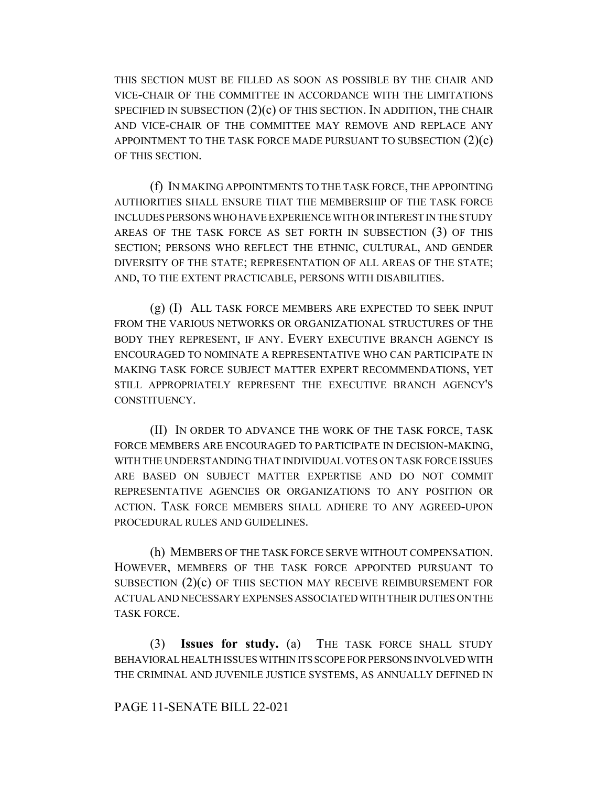THIS SECTION MUST BE FILLED AS SOON AS POSSIBLE BY THE CHAIR AND VICE-CHAIR OF THE COMMITTEE IN ACCORDANCE WITH THE LIMITATIONS SPECIFIED IN SUBSECTION  $(2)(c)$  of this section. In addition, the chair AND VICE-CHAIR OF THE COMMITTEE MAY REMOVE AND REPLACE ANY APPOINTMENT TO THE TASK FORCE MADE PURSUANT TO SUBSECTION (2)(c) OF THIS SECTION.

(f) IN MAKING APPOINTMENTS TO THE TASK FORCE, THE APPOINTING AUTHORITIES SHALL ENSURE THAT THE MEMBERSHIP OF THE TASK FORCE INCLUDES PERSONS WHO HAVE EXPERIENCE WITH OR INTEREST IN THE STUDY AREAS OF THE TASK FORCE AS SET FORTH IN SUBSECTION (3) OF THIS SECTION; PERSONS WHO REFLECT THE ETHNIC, CULTURAL, AND GENDER DIVERSITY OF THE STATE; REPRESENTATION OF ALL AREAS OF THE STATE; AND, TO THE EXTENT PRACTICABLE, PERSONS WITH DISABILITIES.

(g) (I) ALL TASK FORCE MEMBERS ARE EXPECTED TO SEEK INPUT FROM THE VARIOUS NETWORKS OR ORGANIZATIONAL STRUCTURES OF THE BODY THEY REPRESENT, IF ANY. EVERY EXECUTIVE BRANCH AGENCY IS ENCOURAGED TO NOMINATE A REPRESENTATIVE WHO CAN PARTICIPATE IN MAKING TASK FORCE SUBJECT MATTER EXPERT RECOMMENDATIONS, YET STILL APPROPRIATELY REPRESENT THE EXECUTIVE BRANCH AGENCY'S CONSTITUENCY.

(II) IN ORDER TO ADVANCE THE WORK OF THE TASK FORCE, TASK FORCE MEMBERS ARE ENCOURAGED TO PARTICIPATE IN DECISION-MAKING, WITH THE UNDERSTANDING THAT INDIVIDUAL VOTES ON TASK FORCE ISSUES ARE BASED ON SUBJECT MATTER EXPERTISE AND DO NOT COMMIT REPRESENTATIVE AGENCIES OR ORGANIZATIONS TO ANY POSITION OR ACTION. TASK FORCE MEMBERS SHALL ADHERE TO ANY AGREED-UPON PROCEDURAL RULES AND GUIDELINES.

(h) MEMBERS OF THE TASK FORCE SERVE WITHOUT COMPENSATION. HOWEVER, MEMBERS OF THE TASK FORCE APPOINTED PURSUANT TO SUBSECTION  $(2)(c)$  OF THIS SECTION MAY RECEIVE REIMBURSEMENT FOR ACTUAL AND NECESSARY EXPENSES ASSOCIATED WITH THEIR DUTIES ON THE TASK FORCE.

(3) **Issues for study.** (a) THE TASK FORCE SHALL STUDY BEHAVIORAL HEALTH ISSUES WITHIN ITS SCOPE FOR PERSONS INVOLVED WITH THE CRIMINAL AND JUVENILE JUSTICE SYSTEMS, AS ANNUALLY DEFINED IN

### PAGE 11-SENATE BILL 22-021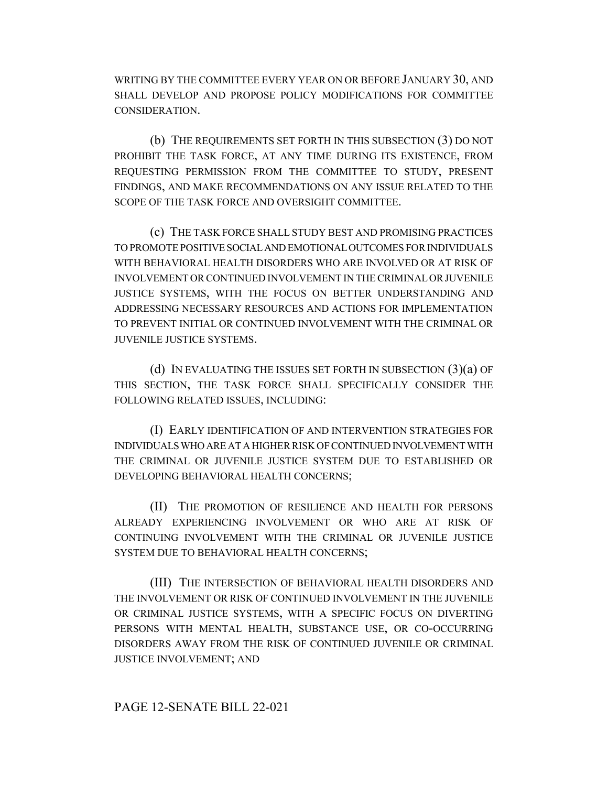WRITING BY THE COMMITTEE EVERY YEAR ON OR BEFORE JANUARY 30, AND SHALL DEVELOP AND PROPOSE POLICY MODIFICATIONS FOR COMMITTEE CONSIDERATION.

(b) THE REQUIREMENTS SET FORTH IN THIS SUBSECTION (3) DO NOT PROHIBIT THE TASK FORCE, AT ANY TIME DURING ITS EXISTENCE, FROM REQUESTING PERMISSION FROM THE COMMITTEE TO STUDY, PRESENT FINDINGS, AND MAKE RECOMMENDATIONS ON ANY ISSUE RELATED TO THE SCOPE OF THE TASK FORCE AND OVERSIGHT COMMITTEE.

(c) THE TASK FORCE SHALL STUDY BEST AND PROMISING PRACTICES TO PROMOTE POSITIVE SOCIAL AND EMOTIONAL OUTCOMES FOR INDIVIDUALS WITH BEHAVIORAL HEALTH DISORDERS WHO ARE INVOLVED OR AT RISK OF INVOLVEMENT OR CONTINUED INVOLVEMENT IN THE CRIMINAL OR JUVENILE JUSTICE SYSTEMS, WITH THE FOCUS ON BETTER UNDERSTANDING AND ADDRESSING NECESSARY RESOURCES AND ACTIONS FOR IMPLEMENTATION TO PREVENT INITIAL OR CONTINUED INVOLVEMENT WITH THE CRIMINAL OR JUVENILE JUSTICE SYSTEMS.

(d) IN EVALUATING THE ISSUES SET FORTH IN SUBSECTION  $(3)(a)$  OF THIS SECTION, THE TASK FORCE SHALL SPECIFICALLY CONSIDER THE FOLLOWING RELATED ISSUES, INCLUDING:

(I) EARLY IDENTIFICATION OF AND INTERVENTION STRATEGIES FOR INDIVIDUALS WHO ARE AT A HIGHER RISK OF CONTINUED INVOLVEMENT WITH THE CRIMINAL OR JUVENILE JUSTICE SYSTEM DUE TO ESTABLISHED OR DEVELOPING BEHAVIORAL HEALTH CONCERNS;

(II) THE PROMOTION OF RESILIENCE AND HEALTH FOR PERSONS ALREADY EXPERIENCING INVOLVEMENT OR WHO ARE AT RISK OF CONTINUING INVOLVEMENT WITH THE CRIMINAL OR JUVENILE JUSTICE SYSTEM DUE TO BEHAVIORAL HEALTH CONCERNS;

(III) THE INTERSECTION OF BEHAVIORAL HEALTH DISORDERS AND THE INVOLVEMENT OR RISK OF CONTINUED INVOLVEMENT IN THE JUVENILE OR CRIMINAL JUSTICE SYSTEMS, WITH A SPECIFIC FOCUS ON DIVERTING PERSONS WITH MENTAL HEALTH, SUBSTANCE USE, OR CO-OCCURRING DISORDERS AWAY FROM THE RISK OF CONTINUED JUVENILE OR CRIMINAL JUSTICE INVOLVEMENT; AND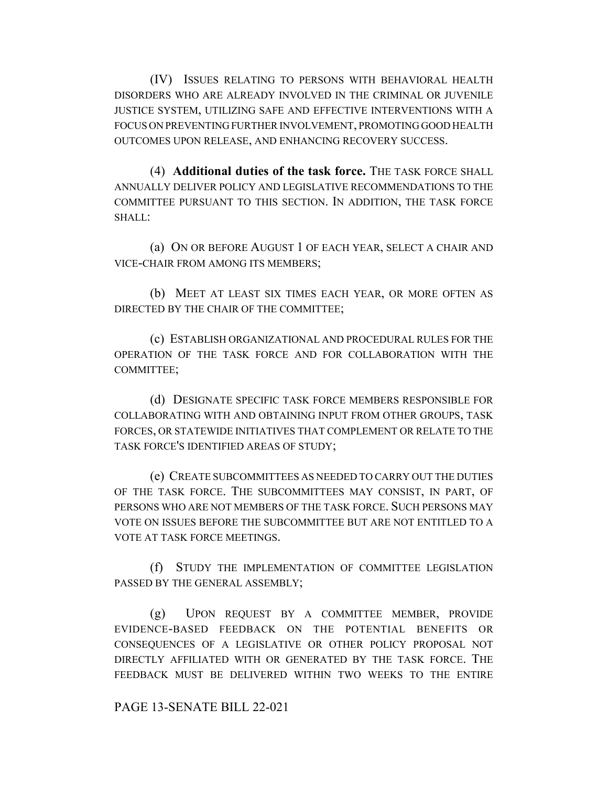(IV) ISSUES RELATING TO PERSONS WITH BEHAVIORAL HEALTH DISORDERS WHO ARE ALREADY INVOLVED IN THE CRIMINAL OR JUVENILE JUSTICE SYSTEM, UTILIZING SAFE AND EFFECTIVE INTERVENTIONS WITH A FOCUS ON PREVENTING FURTHER INVOLVEMENT, PROMOTING GOOD HEALTH OUTCOMES UPON RELEASE, AND ENHANCING RECOVERY SUCCESS.

(4) **Additional duties of the task force.** THE TASK FORCE SHALL ANNUALLY DELIVER POLICY AND LEGISLATIVE RECOMMENDATIONS TO THE COMMITTEE PURSUANT TO THIS SECTION. IN ADDITION, THE TASK FORCE SHALL:

(a) ON OR BEFORE AUGUST 1 OF EACH YEAR, SELECT A CHAIR AND VICE-CHAIR FROM AMONG ITS MEMBERS;

(b) MEET AT LEAST SIX TIMES EACH YEAR, OR MORE OFTEN AS DIRECTED BY THE CHAIR OF THE COMMITTEE;

(c) ESTABLISH ORGANIZATIONAL AND PROCEDURAL RULES FOR THE OPERATION OF THE TASK FORCE AND FOR COLLABORATION WITH THE COMMITTEE;

(d) DESIGNATE SPECIFIC TASK FORCE MEMBERS RESPONSIBLE FOR COLLABORATING WITH AND OBTAINING INPUT FROM OTHER GROUPS, TASK FORCES, OR STATEWIDE INITIATIVES THAT COMPLEMENT OR RELATE TO THE TASK FORCE'S IDENTIFIED AREAS OF STUDY;

(e) CREATE SUBCOMMITTEES AS NEEDED TO CARRY OUT THE DUTIES OF THE TASK FORCE. THE SUBCOMMITTEES MAY CONSIST, IN PART, OF PERSONS WHO ARE NOT MEMBERS OF THE TASK FORCE. SUCH PERSONS MAY VOTE ON ISSUES BEFORE THE SUBCOMMITTEE BUT ARE NOT ENTITLED TO A VOTE AT TASK FORCE MEETINGS.

(f) STUDY THE IMPLEMENTATION OF COMMITTEE LEGISLATION PASSED BY THE GENERAL ASSEMBLY;

(g) UPON REQUEST BY A COMMITTEE MEMBER, PROVIDE EVIDENCE-BASED FEEDBACK ON THE POTENTIAL BENEFITS OR CONSEQUENCES OF A LEGISLATIVE OR OTHER POLICY PROPOSAL NOT DIRECTLY AFFILIATED WITH OR GENERATED BY THE TASK FORCE. THE FEEDBACK MUST BE DELIVERED WITHIN TWO WEEKS TO THE ENTIRE

PAGE 13-SENATE BILL 22-021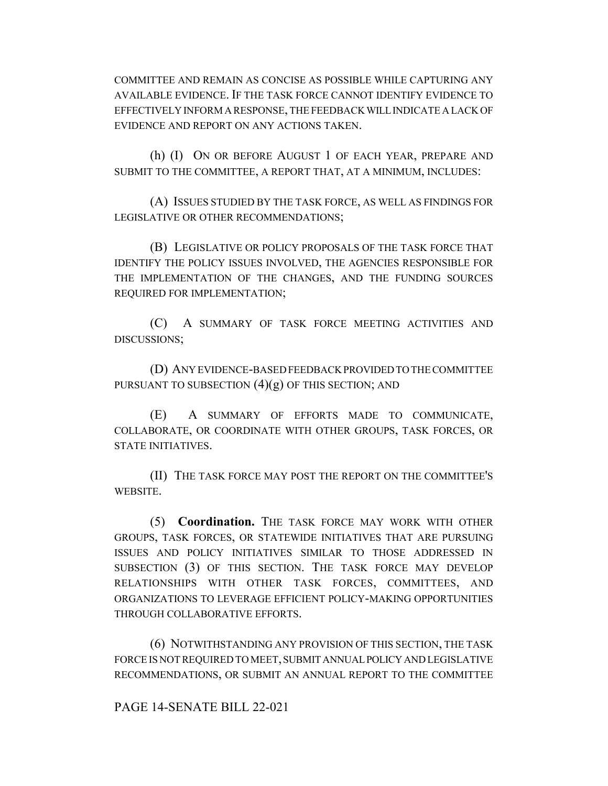COMMITTEE AND REMAIN AS CONCISE AS POSSIBLE WHILE CAPTURING ANY AVAILABLE EVIDENCE. IF THE TASK FORCE CANNOT IDENTIFY EVIDENCE TO EFFECTIVELY INFORM A RESPONSE, THE FEEDBACK WILL INDICATE A LACK OF EVIDENCE AND REPORT ON ANY ACTIONS TAKEN.

(h) (I) ON OR BEFORE AUGUST 1 OF EACH YEAR, PREPARE AND SUBMIT TO THE COMMITTEE, A REPORT THAT, AT A MINIMUM, INCLUDES:

(A) ISSUES STUDIED BY THE TASK FORCE, AS WELL AS FINDINGS FOR LEGISLATIVE OR OTHER RECOMMENDATIONS;

(B) LEGISLATIVE OR POLICY PROPOSALS OF THE TASK FORCE THAT IDENTIFY THE POLICY ISSUES INVOLVED, THE AGENCIES RESPONSIBLE FOR THE IMPLEMENTATION OF THE CHANGES, AND THE FUNDING SOURCES REQUIRED FOR IMPLEMENTATION;

(C) A SUMMARY OF TASK FORCE MEETING ACTIVITIES AND DISCUSSIONS;

(D) ANY EVIDENCE-BASED FEEDBACK PROVIDED TO THE COMMITTEE PURSUANT TO SUBSECTION  $(4)(g)$  OF THIS SECTION; AND

(E) A SUMMARY OF EFFORTS MADE TO COMMUNICATE, COLLABORATE, OR COORDINATE WITH OTHER GROUPS, TASK FORCES, OR STATE INITIATIVES.

(II) THE TASK FORCE MAY POST THE REPORT ON THE COMMITTEE'S WEBSITE.

(5) **Coordination.** THE TASK FORCE MAY WORK WITH OTHER GROUPS, TASK FORCES, OR STATEWIDE INITIATIVES THAT ARE PURSUING ISSUES AND POLICY INITIATIVES SIMILAR TO THOSE ADDRESSED IN SUBSECTION (3) OF THIS SECTION. THE TASK FORCE MAY DEVELOP RELATIONSHIPS WITH OTHER TASK FORCES, COMMITTEES, AND ORGANIZATIONS TO LEVERAGE EFFICIENT POLICY-MAKING OPPORTUNITIES THROUGH COLLABORATIVE EFFORTS.

(6) NOTWITHSTANDING ANY PROVISION OF THIS SECTION, THE TASK FORCE IS NOT REQUIRED TO MEET, SUBMIT ANNUAL POLICY AND LEGISLATIVE RECOMMENDATIONS, OR SUBMIT AN ANNUAL REPORT TO THE COMMITTEE

PAGE 14-SENATE BILL 22-021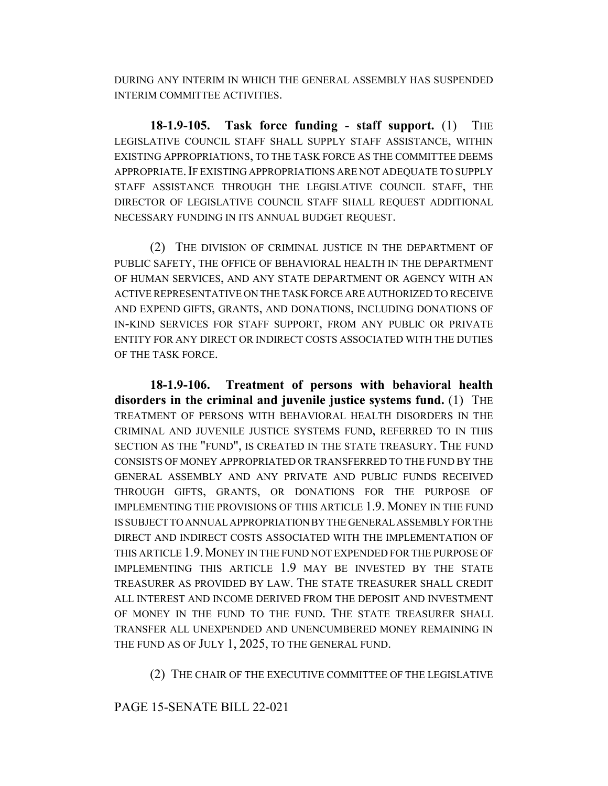DURING ANY INTERIM IN WHICH THE GENERAL ASSEMBLY HAS SUSPENDED INTERIM COMMITTEE ACTIVITIES.

**18-1.9-105. Task force funding - staff support.** (1) THE LEGISLATIVE COUNCIL STAFF SHALL SUPPLY STAFF ASSISTANCE, WITHIN EXISTING APPROPRIATIONS, TO THE TASK FORCE AS THE COMMITTEE DEEMS APPROPRIATE.IF EXISTING APPROPRIATIONS ARE NOT ADEQUATE TO SUPPLY STAFF ASSISTANCE THROUGH THE LEGISLATIVE COUNCIL STAFF, THE DIRECTOR OF LEGISLATIVE COUNCIL STAFF SHALL REQUEST ADDITIONAL NECESSARY FUNDING IN ITS ANNUAL BUDGET REQUEST.

(2) THE DIVISION OF CRIMINAL JUSTICE IN THE DEPARTMENT OF PUBLIC SAFETY, THE OFFICE OF BEHAVIORAL HEALTH IN THE DEPARTMENT OF HUMAN SERVICES, AND ANY STATE DEPARTMENT OR AGENCY WITH AN ACTIVE REPRESENTATIVE ON THE TASK FORCE ARE AUTHORIZED TO RECEIVE AND EXPEND GIFTS, GRANTS, AND DONATIONS, INCLUDING DONATIONS OF IN-KIND SERVICES FOR STAFF SUPPORT, FROM ANY PUBLIC OR PRIVATE ENTITY FOR ANY DIRECT OR INDIRECT COSTS ASSOCIATED WITH THE DUTIES OF THE TASK FORCE.

**18-1.9-106. Treatment of persons with behavioral health disorders in the criminal and juvenile justice systems fund.** (1) THE TREATMENT OF PERSONS WITH BEHAVIORAL HEALTH DISORDERS IN THE CRIMINAL AND JUVENILE JUSTICE SYSTEMS FUND, REFERRED TO IN THIS SECTION AS THE "FUND", IS CREATED IN THE STATE TREASURY. THE FUND CONSISTS OF MONEY APPROPRIATED OR TRANSFERRED TO THE FUND BY THE GENERAL ASSEMBLY AND ANY PRIVATE AND PUBLIC FUNDS RECEIVED THROUGH GIFTS, GRANTS, OR DONATIONS FOR THE PURPOSE OF IMPLEMENTING THE PROVISIONS OF THIS ARTICLE 1.9. MONEY IN THE FUND IS SUBJECT TO ANNUAL APPROPRIATION BY THE GENERAL ASSEMBLY FOR THE DIRECT AND INDIRECT COSTS ASSOCIATED WITH THE IMPLEMENTATION OF THIS ARTICLE 1.9.MONEY IN THE FUND NOT EXPENDED FOR THE PURPOSE OF IMPLEMENTING THIS ARTICLE 1.9 MAY BE INVESTED BY THE STATE TREASURER AS PROVIDED BY LAW. THE STATE TREASURER SHALL CREDIT ALL INTEREST AND INCOME DERIVED FROM THE DEPOSIT AND INVESTMENT OF MONEY IN THE FUND TO THE FUND. THE STATE TREASURER SHALL TRANSFER ALL UNEXPENDED AND UNENCUMBERED MONEY REMAINING IN THE FUND AS OF JULY 1, 2025, TO THE GENERAL FUND.

(2) THE CHAIR OF THE EXECUTIVE COMMITTEE OF THE LEGISLATIVE

PAGE 15-SENATE BILL 22-021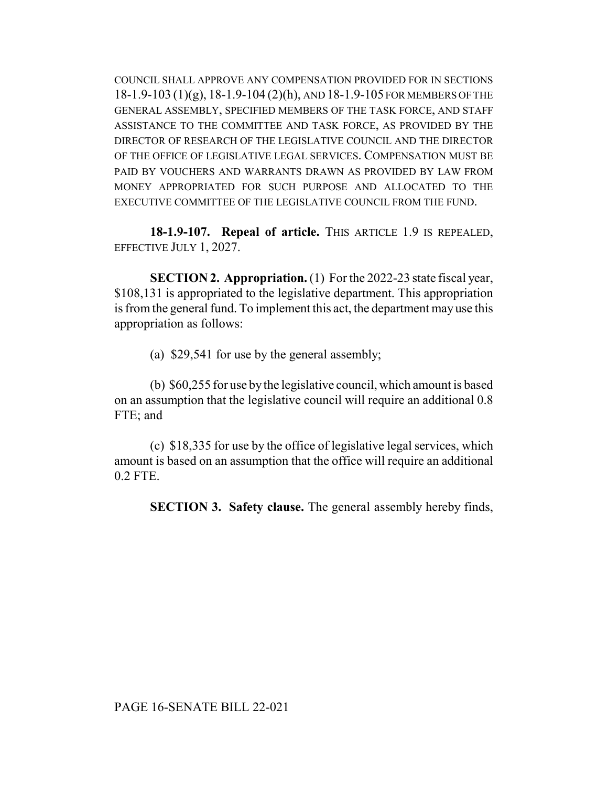COUNCIL SHALL APPROVE ANY COMPENSATION PROVIDED FOR IN SECTIONS  $18-1.9-103$   $(1)(g)$ ,  $18-1.9-104$   $(2)(h)$ , AND  $18-1.9-105$  FOR MEMBERS OF THE GENERAL ASSEMBLY, SPECIFIED MEMBERS OF THE TASK FORCE, AND STAFF ASSISTANCE TO THE COMMITTEE AND TASK FORCE, AS PROVIDED BY THE DIRECTOR OF RESEARCH OF THE LEGISLATIVE COUNCIL AND THE DIRECTOR OF THE OFFICE OF LEGISLATIVE LEGAL SERVICES. COMPENSATION MUST BE PAID BY VOUCHERS AND WARRANTS DRAWN AS PROVIDED BY LAW FROM MONEY APPROPRIATED FOR SUCH PURPOSE AND ALLOCATED TO THE EXECUTIVE COMMITTEE OF THE LEGISLATIVE COUNCIL FROM THE FUND.

**18-1.9-107. Repeal of article.** THIS ARTICLE 1.9 IS REPEALED, EFFECTIVE JULY 1, 2027.

**SECTION 2. Appropriation.** (1) For the 2022-23 state fiscal year, \$108,131 is appropriated to the legislative department. This appropriation is from the general fund. To implement this act, the department may use this appropriation as follows:

(a) \$29,541 for use by the general assembly;

(b) \$60,255 for use by the legislative council, which amount is based on an assumption that the legislative council will require an additional 0.8 FTE; and

(c) \$18,335 for use by the office of legislative legal services, which amount is based on an assumption that the office will require an additional 0.2 FTE.

**SECTION 3. Safety clause.** The general assembly hereby finds,